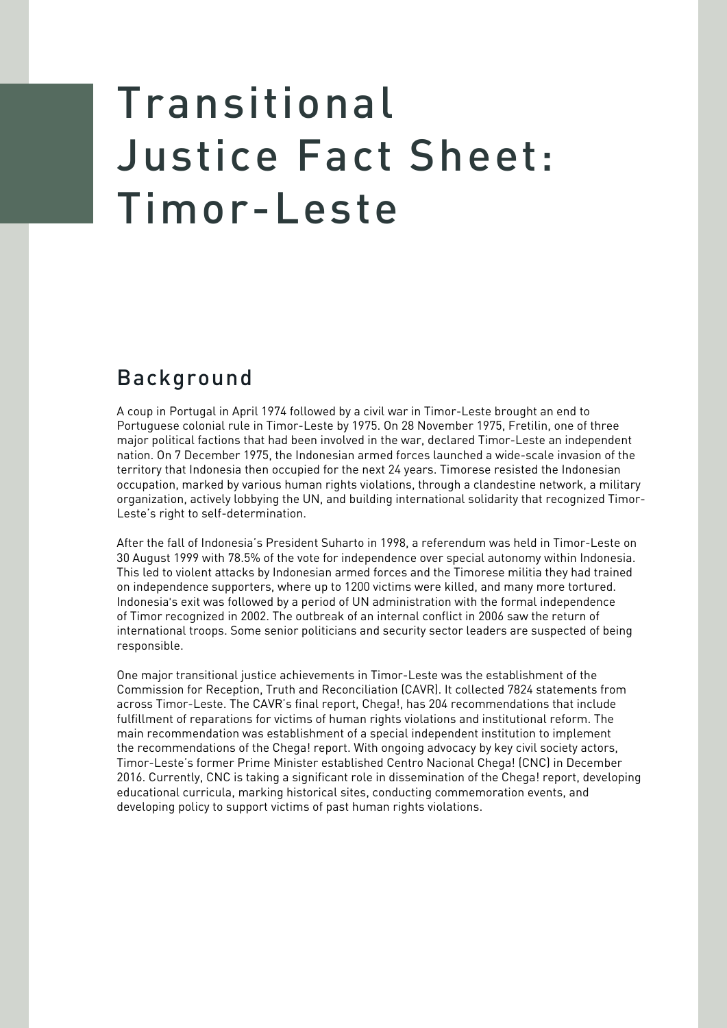## Transitional Justice Fact Sheet: Timor-Leste

## Background

A coup in Portugal in April 1974 followed by a civil war in Timor-Leste brought an end to Portuguese colonial rule in Timor-Leste by 1975. On 28 November 1975, Fretilin, one of three major political factions that had been involved in the war, declared Timor-Leste an independent nation. On 7 December 1975, the Indonesian armed forces launched a wide-scale invasion of the territory that Indonesia then occupied for the next 24 years. Timorese resisted the Indonesian occupation, marked by various human rights violations, through a clandestine network, a military organization, actively lobbying the UN, and building international solidarity that recognized Timor-Leste's right to self-determination.

After the fall of Indonesia's President Suharto in 1998, a referendum was held in Timor-Leste on 30 August 1999 with 78.5% of the vote for independence over special autonomy within Indonesia. This led to violent attacks by Indonesian armed forces and the Timorese militia they had trained on independence supporters, where up to 1200 victims were killed, and many more tortured. Indonesia's exit was followed by a period of UN administration with the formal independence of Timor recognized in 2002. The outbreak of an internal conflict in 2006 saw the return of international troops. Some senior politicians and security sector leaders are suspected of being responsible.

One major transitional justice achievements in Timor-Leste was the establishment of the Commission for Reception, Truth and Reconciliation (CAVR). It collected 7824 statements from across Timor-Leste. The CAVR's final report, Chega!, has 204 recommendations that include fulfillment of reparations for victims of human rights violations and institutional reform. The main recommendation was establishment of a special independent institution to implement the recommendations of the Chega! report. With ongoing advocacy by key civil society actors, Timor-Leste's former Prime Minister established Centro Nacional Chega! (CNC) in December 2016. Currently, CNC is taking a significant role in dissemination of the Chega! report, developing educational curricula, marking historical sites, conducting commemoration events, and developing policy to support victims of past human rights violations.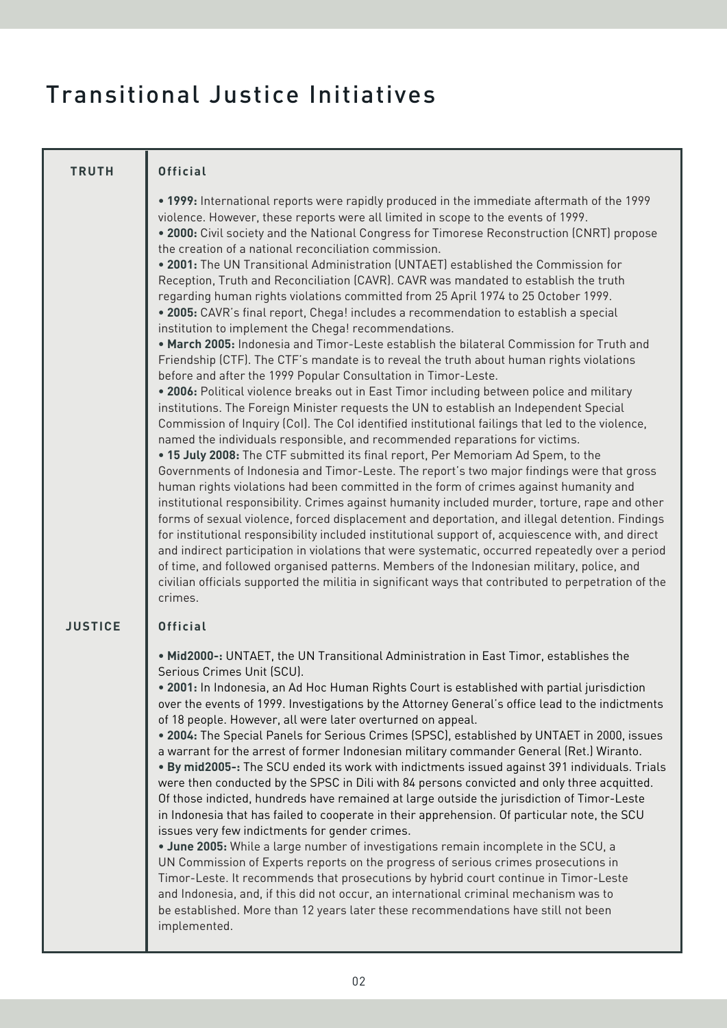## Transitional Justice Initiatives

| <b>TRUTH</b>   | <b>Official</b>                                                                                                                                                                                                                                                                                                                                                                                                                                                                                                                                                                                                                                                                                                                                                                                                                                                                                                                                                                                                                                                                                                                                                                                                                                                                                                                                                                                                                                                                                                                                                                                                                                                                                                                                                                                                                                                                                                                                                                                                                                                                                                                                                                                                                                                                                       |
|----------------|-------------------------------------------------------------------------------------------------------------------------------------------------------------------------------------------------------------------------------------------------------------------------------------------------------------------------------------------------------------------------------------------------------------------------------------------------------------------------------------------------------------------------------------------------------------------------------------------------------------------------------------------------------------------------------------------------------------------------------------------------------------------------------------------------------------------------------------------------------------------------------------------------------------------------------------------------------------------------------------------------------------------------------------------------------------------------------------------------------------------------------------------------------------------------------------------------------------------------------------------------------------------------------------------------------------------------------------------------------------------------------------------------------------------------------------------------------------------------------------------------------------------------------------------------------------------------------------------------------------------------------------------------------------------------------------------------------------------------------------------------------------------------------------------------------------------------------------------------------------------------------------------------------------------------------------------------------------------------------------------------------------------------------------------------------------------------------------------------------------------------------------------------------------------------------------------------------------------------------------------------------------------------------------------------------|
|                | • 1999: International reports were rapidly produced in the immediate aftermath of the 1999<br>violence. However, these reports were all limited in scope to the events of 1999.<br>. 2000: Civil society and the National Congress for Timorese Reconstruction (CNRT) propose<br>the creation of a national reconciliation commission.<br>. 2001: The UN Transitional Administration (UNTAET) established the Commission for<br>Reception, Truth and Reconciliation (CAVR). CAVR was mandated to establish the truth<br>regarding human rights violations committed from 25 April 1974 to 25 October 1999.<br>. 2005: CAVR's final report, Chega! includes a recommendation to establish a special<br>institution to implement the Chega! recommendations.<br>. March 2005: Indonesia and Timor-Leste establish the bilateral Commission for Truth and<br>Friendship (CTF). The CTF's mandate is to reveal the truth about human rights violations<br>before and after the 1999 Popular Consultation in Timor-Leste.<br>. 2006: Political violence breaks out in East Timor including between police and military<br>institutions. The Foreign Minister requests the UN to establish an Independent Special<br>Commission of Inquiry (Col). The Col identified institutional failings that led to the violence,<br>named the individuals responsible, and recommended reparations for victims.<br>. 15 July 2008: The CTF submitted its final report, Per Memoriam Ad Spem, to the<br>Governments of Indonesia and Timor-Leste. The report's two major findings were that gross<br>human rights violations had been committed in the form of crimes against humanity and<br>institutional responsibility. Crimes against humanity included murder, torture, rape and other<br>forms of sexual violence, forced displacement and deportation, and illegal detention. Findings<br>for institutional responsibility included institutional support of, acquiescence with, and direct<br>and indirect participation in violations that were systematic, occurred repeatedly over a period<br>of time, and followed organised patterns. Members of the Indonesian military, police, and<br>civilian officials supported the militia in significant ways that contributed to perpetration of the<br>crimes. |
| <b>JUSTICE</b> | <b>Official</b>                                                                                                                                                                                                                                                                                                                                                                                                                                                                                                                                                                                                                                                                                                                                                                                                                                                                                                                                                                                                                                                                                                                                                                                                                                                                                                                                                                                                                                                                                                                                                                                                                                                                                                                                                                                                                                                                                                                                                                                                                                                                                                                                                                                                                                                                                       |
|                | . Mid2000-: UNTAET, the UN Transitional Administration in East Timor, establishes the<br>Serious Crimes Unit (SCU).<br>. 2001: In Indonesia, an Ad Hoc Human Rights Court is established with partial jurisdiction<br>over the events of 1999. Investigations by the Attorney General's office lead to the indictments<br>of 18 people. However, all were later overturned on appeal.<br>. 2004: The Special Panels for Serious Crimes (SPSC), established by UNTAET in 2000, issues<br>a warrant for the arrest of former Indonesian military commander General (Ret.) Wiranto.<br>. By mid2005-: The SCU ended its work with indictments issued against 391 individuals. Trials<br>were then conducted by the SPSC in Dili with 84 persons convicted and only three acquitted.<br>Of those indicted, hundreds have remained at large outside the jurisdiction of Timor-Leste<br>in Indonesia that has failed to cooperate in their apprehension. Of particular note, the SCU<br>issues very few indictments for gender crimes.<br>. June 2005: While a large number of investigations remain incomplete in the SCU, a<br>UN Commission of Experts reports on the progress of serious crimes prosecutions in<br>Timor-Leste. It recommends that prosecutions by hybrid court continue in Timor-Leste<br>and Indonesia, and, if this did not occur, an international criminal mechanism was to<br>be established. More than 12 years later these recommendations have still not been<br>implemented.                                                                                                                                                                                                                                                                                                                                                                                                                                                                                                                                                                                                                                                                                                                                                                                                  |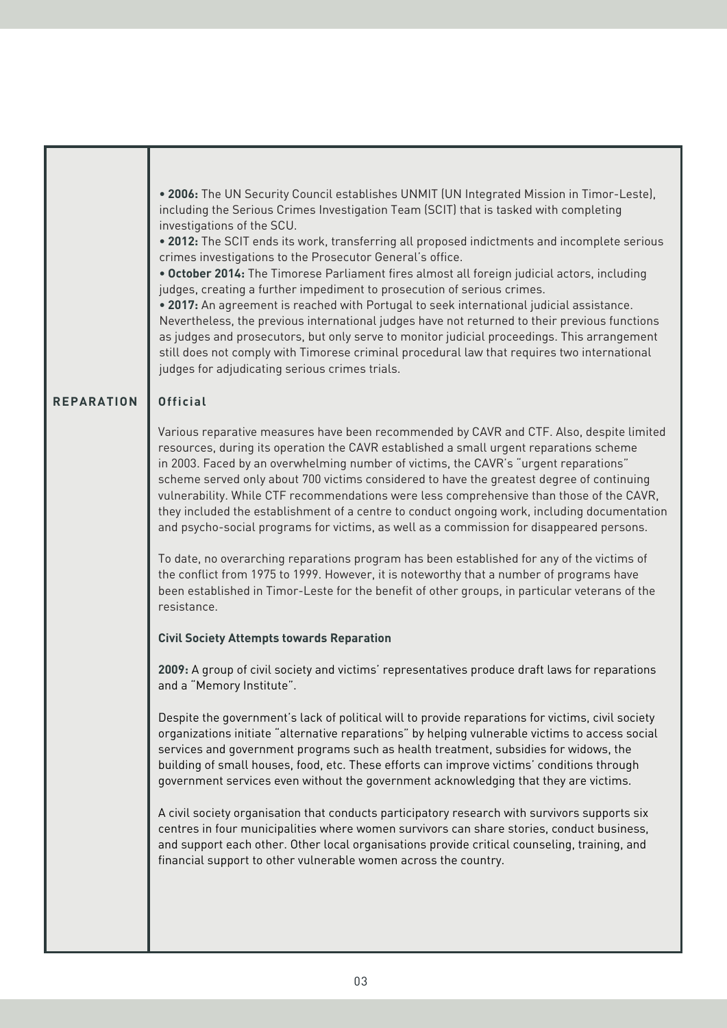|                   | . 2006: The UN Security Council establishes UNMIT (UN Integrated Mission in Timor-Leste),<br>including the Serious Crimes Investigation Team (SCIT) that is tasked with completing<br>investigations of the SCU.<br>. 2012: The SCIT ends its work, transferring all proposed indictments and incomplete serious<br>crimes investigations to the Prosecutor General's office.<br>. October 2014: The Timorese Parliament fires almost all foreign judicial actors, including<br>judges, creating a further impediment to prosecution of serious crimes.<br>. 2017: An agreement is reached with Portugal to seek international judicial assistance.<br>Nevertheless, the previous international judges have not returned to their previous functions<br>as judges and prosecutors, but only serve to monitor judicial proceedings. This arrangement<br>still does not comply with Timorese criminal procedural law that requires two international<br>judges for adjudicating serious crimes trials. |
|-------------------|------------------------------------------------------------------------------------------------------------------------------------------------------------------------------------------------------------------------------------------------------------------------------------------------------------------------------------------------------------------------------------------------------------------------------------------------------------------------------------------------------------------------------------------------------------------------------------------------------------------------------------------------------------------------------------------------------------------------------------------------------------------------------------------------------------------------------------------------------------------------------------------------------------------------------------------------------------------------------------------------------|
| <b>REPARATION</b> | <b>Official</b>                                                                                                                                                                                                                                                                                                                                                                                                                                                                                                                                                                                                                                                                                                                                                                                                                                                                                                                                                                                      |
|                   | Various reparative measures have been recommended by CAVR and CTF. Also, despite limited<br>resources, during its operation the CAVR established a small urgent reparations scheme<br>in 2003. Faced by an overwhelming number of victims, the CAVR's "urgent reparations"<br>scheme served only about 700 victims considered to have the greatest degree of continuing<br>vulnerability. While CTF recommendations were less comprehensive than those of the CAVR,<br>they included the establishment of a centre to conduct ongoing work, including documentation<br>and psycho-social programs for victims, as well as a commission for disappeared persons.                                                                                                                                                                                                                                                                                                                                      |
|                   | To date, no overarching reparations program has been established for any of the victims of<br>the conflict from 1975 to 1999. However, it is noteworthy that a number of programs have<br>been established in Timor-Leste for the benefit of other groups, in particular veterans of the<br>resistance.                                                                                                                                                                                                                                                                                                                                                                                                                                                                                                                                                                                                                                                                                              |
|                   | <b>Civil Society Attempts towards Reparation</b>                                                                                                                                                                                                                                                                                                                                                                                                                                                                                                                                                                                                                                                                                                                                                                                                                                                                                                                                                     |
|                   | 2009: A group of civil society and victims' representatives produce draft laws for reparations<br>and a "Memory Institute".                                                                                                                                                                                                                                                                                                                                                                                                                                                                                                                                                                                                                                                                                                                                                                                                                                                                          |
|                   | Despite the government's lack of political will to provide reparations for victims, civil society<br>organizations initiate "alternative reparations" by helping vulnerable victims to access social<br>services and government programs such as health treatment, subsidies for widows, the<br>building of small houses, food, etc. These efforts can improve victims' conditions through<br>government services even without the government acknowledging that they are victims.                                                                                                                                                                                                                                                                                                                                                                                                                                                                                                                   |
|                   | A civil society organisation that conducts participatory research with survivors supports six<br>centres in four municipalities where women survivors can share stories, conduct business,<br>and support each other. Other local organisations provide critical counseling, training, and<br>financial support to other vulnerable women across the country.                                                                                                                                                                                                                                                                                                                                                                                                                                                                                                                                                                                                                                        |
|                   |                                                                                                                                                                                                                                                                                                                                                                                                                                                                                                                                                                                                                                                                                                                                                                                                                                                                                                                                                                                                      |